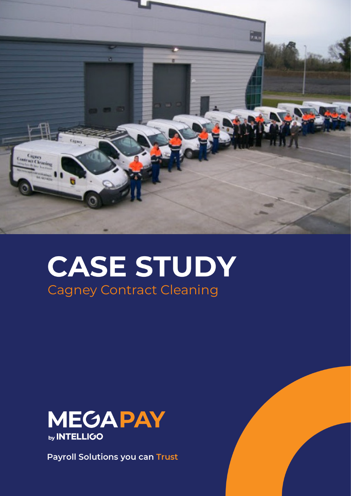

# **CASE STUDY** Cagney Contract Cleaning



**Payroll Solutions you can Trust**